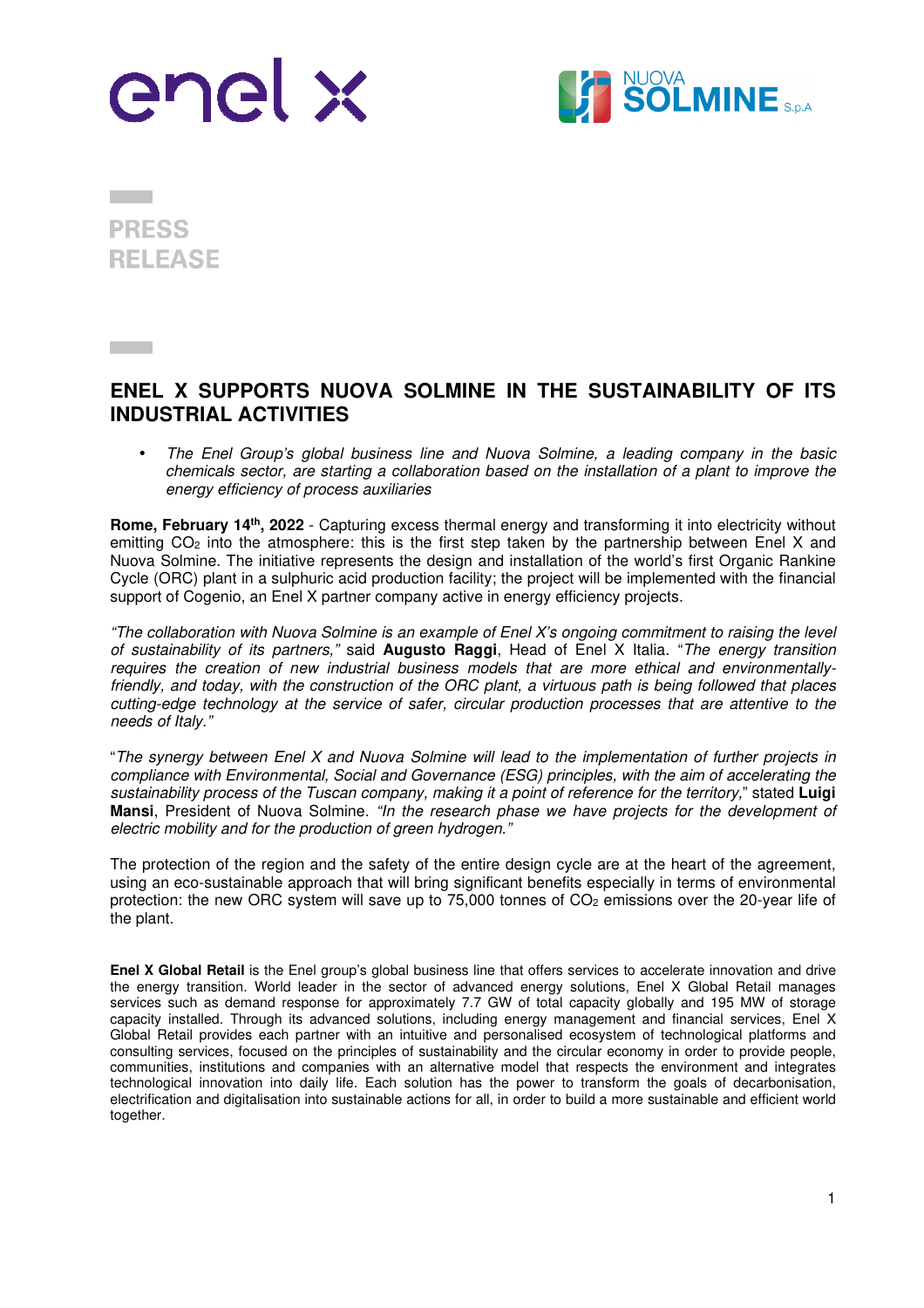



**PRESS RELEASE** 

## **ENEL X SUPPORTS NUOVA SOLMINE IN THE SUSTAINABILITY OF ITS INDUSTRIAL ACTIVITIES**

• The Enel Group's global business line and Nuova Solmine, a leading company in the basic chemicals sector, are starting a collaboration based on the installation of a plant to improve the energy efficiency of process auxiliaries

**Rome, February 14th, 2022** - Capturing excess thermal energy and transforming it into electricity without emitting  $CO<sub>2</sub>$  into the atmosphere: this is the first step taken by the partnership between Enel X and Nuova Solmine. The initiative represents the design and installation of the world's first Organic Rankine Cycle (ORC) plant in a sulphuric acid production facility; the project will be implemented with the financial support of Cogenio, an Enel X partner company active in energy efficiency projects.

"The collaboration with Nuova Solmine is an example of Enel X's ongoing commitment to raising the level of sustainability of its partners," said **Augusto Raggi**, Head of Enel X Italia. "The energy transition requires the creation of new industrial business models that are more ethical and environmentallyfriendly, and today, with the construction of the ORC plant, a virtuous path is being followed that places cutting-edge technology at the service of safer, circular production processes that are attentive to the needs of Italy."

"The synergy between Enel X and Nuova Solmine will lead to the implementation of further projects in compliance with Environmental, Social and Governance (ESG) principles, with the aim of accelerating the sustainability process of the Tuscan company, making it a point of reference for the territory," stated **Luigi Mansi**, President of Nuova Solmine. "In the research phase we have projects for the development of electric mobility and for the production of green hydrogen."

The protection of the region and the safety of the entire design cycle are at the heart of the agreement, using an eco-sustainable approach that will bring significant benefits especially in terms of environmental protection: the new ORC system will save up to 75,000 tonnes of CO<sub>2</sub> emissions over the 20-year life of the plant.

**Enel X Global Retail** is the Enel group's global business line that offers services to accelerate innovation and drive the energy transition. World leader in the sector of advanced energy solutions, Enel X Global Retail manages services such as demand response for approximately 7.7 GW of total capacity globally and 195 MW of storage capacity installed. Through its advanced solutions, including energy management and financial services, Enel X Global Retail provides each partner with an intuitive and personalised ecosystem of technological platforms and consulting services, focused on the principles of sustainability and the circular economy in order to provide people, communities, institutions and companies with an alternative model that respects the environment and integrates technological innovation into daily life. Each solution has the power to transform the goals of decarbonisation, electrification and digitalisation into sustainable actions for all, in order to build a more sustainable and efficient world together.